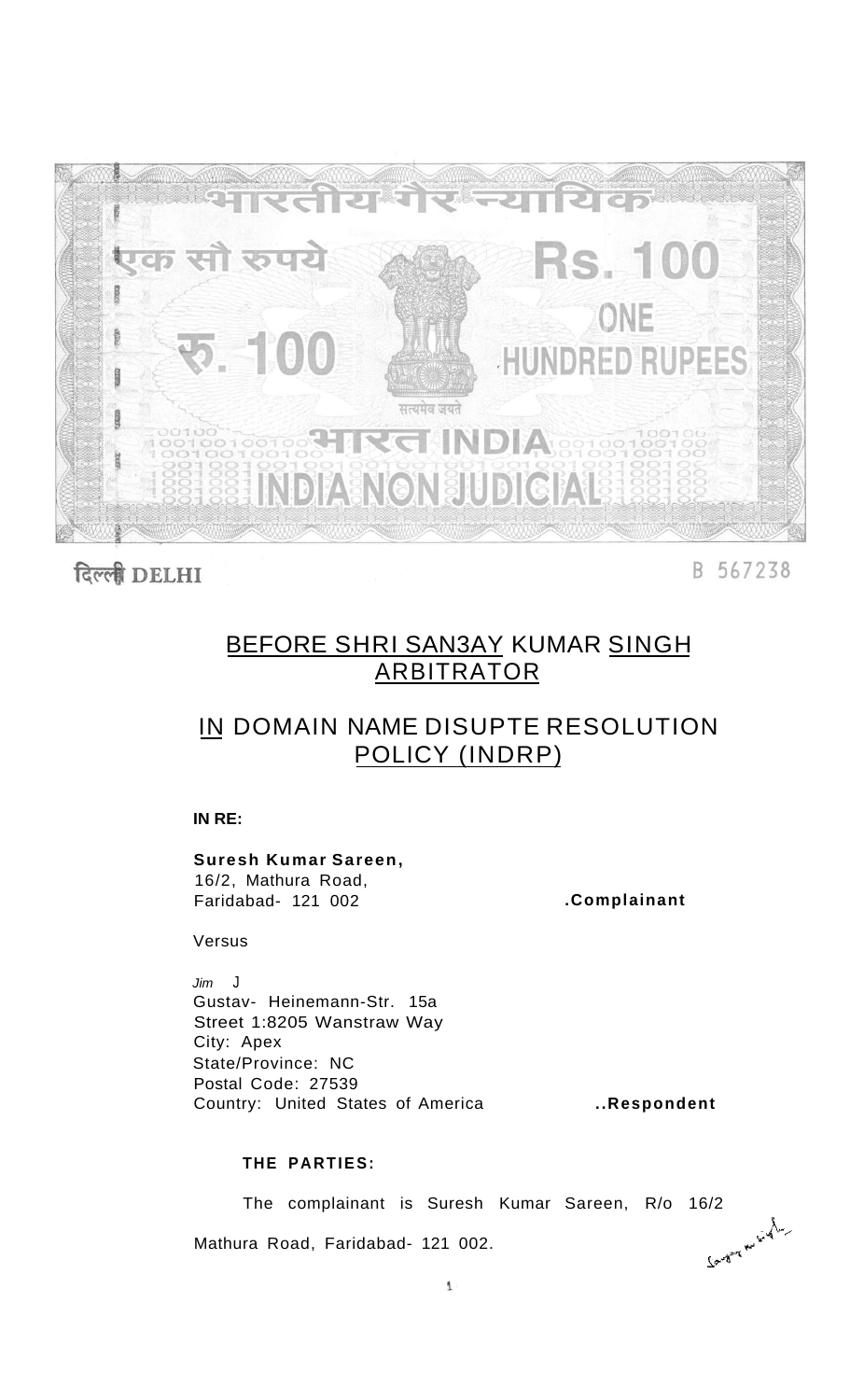

दिल्ली DELHI

B 567238

### BEFORE SHRI SAN3AY KUMAR SINGH ARBITRATOR

## IN DOMAIN NAME DISUPTE RESOLUTION POLICY (INDRP)

**IN RE:** 

**Suresh Kumar Sareen,**  16/2, Mathura Road, Faridabad- 121 002

**.Complainant** 

Versus

Jim J Gustav- Heinemann-Str. 15a Street 1:8205 Wanstraw Way City: Apex State/Province: NC Postal Code: 27539 Country: United States of America

**..Respondent** 

### **THE PARTIES:**

The complainant is Suresh Kumar Sareen, R/o 16/2<br>
ra Road, Faridabad- 121 002. Mathura Road, Faridabad- 121 002.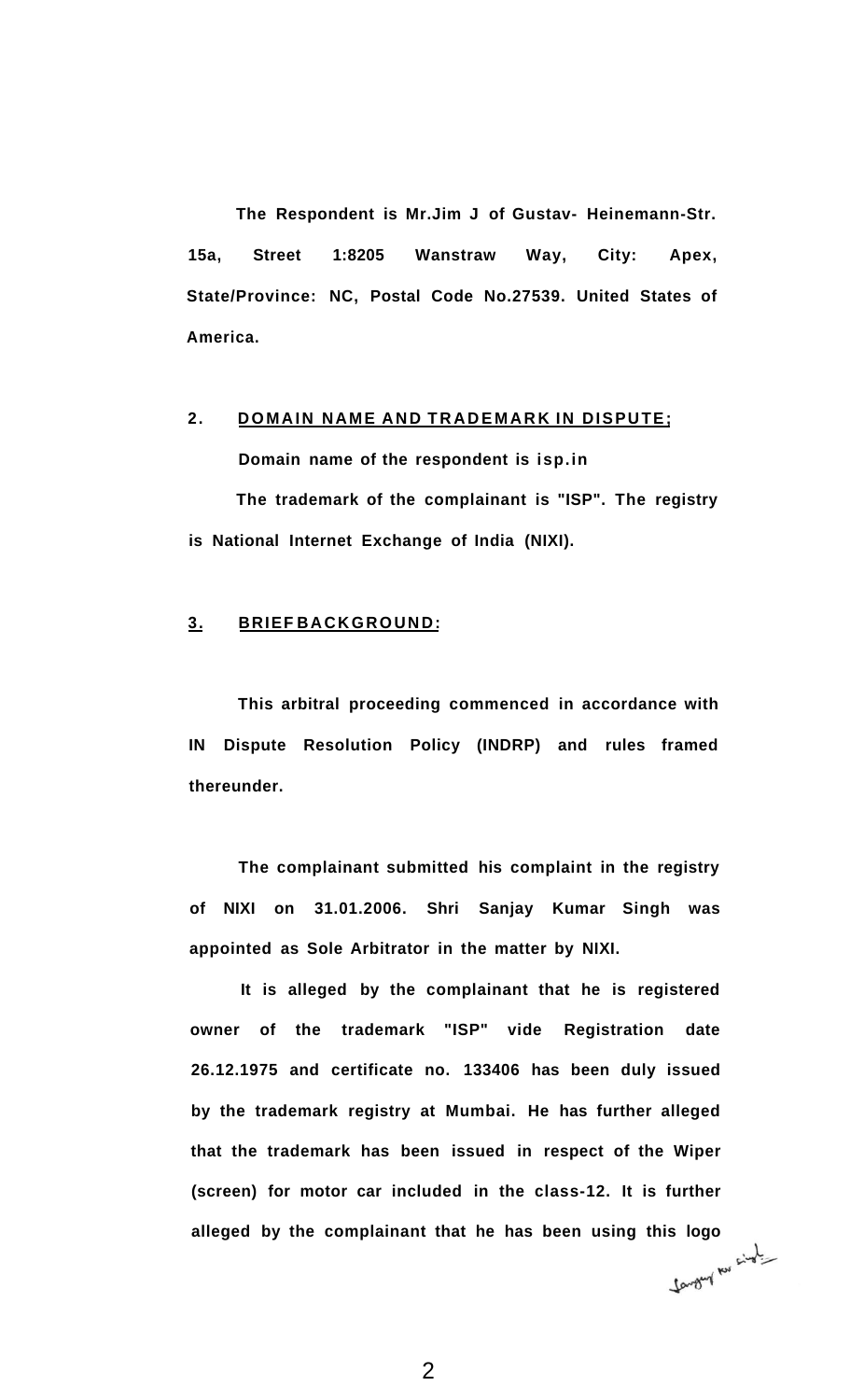**The Respondent is Mr.Jim J of Gustav- Heinemann-Str. 15a, Street 1:8205 Wanstraw Way, City: Apex, State/Province: NC, Postal Code No.27539. United States of America.** 

### 2. DOMAIN NAME AND TRADEMARK IN DISPUTE;

**Domain name of the respondent is isp.in The trademark of the complainant is "ISP". The registry is National Internet Exchange of India (NIXI).** 

### **3. BRIEF BACKGROUND:**

**This arbitral proceeding commenced in accordance with IN Dispute Resolution Policy (INDRP) and rules framed thereunder.** 

**The complainant submitted his complaint in the registry of NIXI on 31.01.2006. Shri Sanjay Kumar Singh was appointed as Sole Arbitrator in the matter by NIXI.** 

**It is alleged by the complainant that he is registered owner of the trademark "ISP" vide Registration date 26.12.1975 and certificate no. 133406 has been duly issued by the trademark registry at Mumbai. He has further alleged that the trademark has been issued in respect of the Wiper (screen) for motor car included in the class-12. It is further alleged by the complainant that he has been using this logo**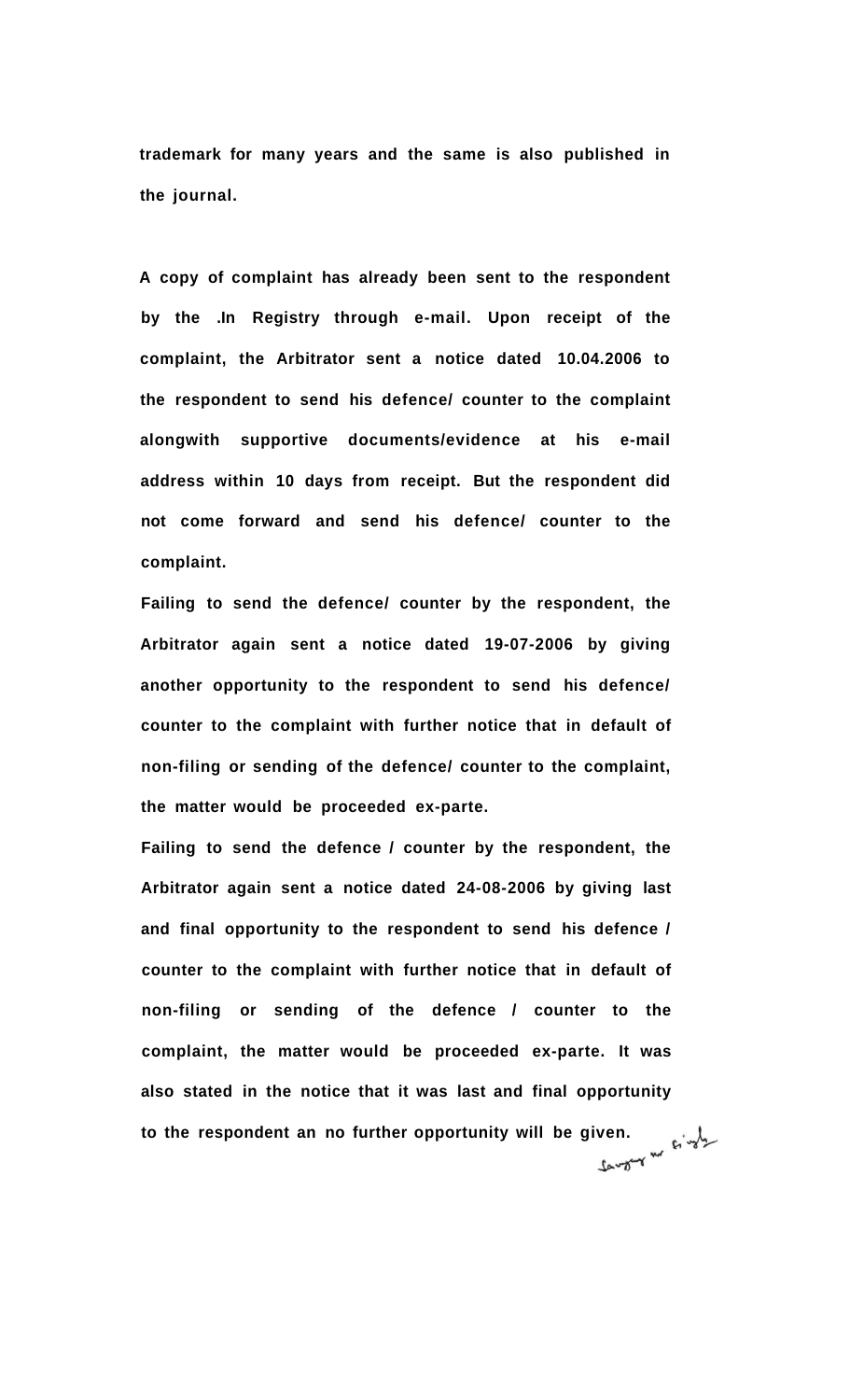**trademark for many years and the same is also published in the journal.** 

**A copy of complaint has already been sent to the respondent by the .In Registry through e-mail. Upon receipt of the complaint, the Arbitrator sent a notice dated 10.04.2006 to the respondent to send his defence/ counter to the complaint alongwith supportive documents/evidence at his e-mail address within 10 days from receipt. But the respondent did not come forward and send his defence/ counter to the complaint.** 

**Failing to send the defence/ counter by the respondent, the Arbitrator again sent a notice dated 19-07-2006 by giving another opportunity to the respondent to send his defence/ counter to the complaint with further notice that in default of non-filing or sending of the defence/ counter to the complaint, the matter would be proceeded ex-parte.** 

**Failing to send the defence / counter by the respondent, the Arbitrator again sent a notice dated 24-08-2006 by giving last and final opportunity to the respondent to send his defence / counter to the complaint with further notice that in default of non-filing or sending of the defence / counter to the complaint, the matter would be proceeded ex-parte. It was also stated in the notice that it was last and final opportunity**  to the respondent an no further opportunity will be given.<br>  $\mathbb{R}^{\frac{1}{2}}$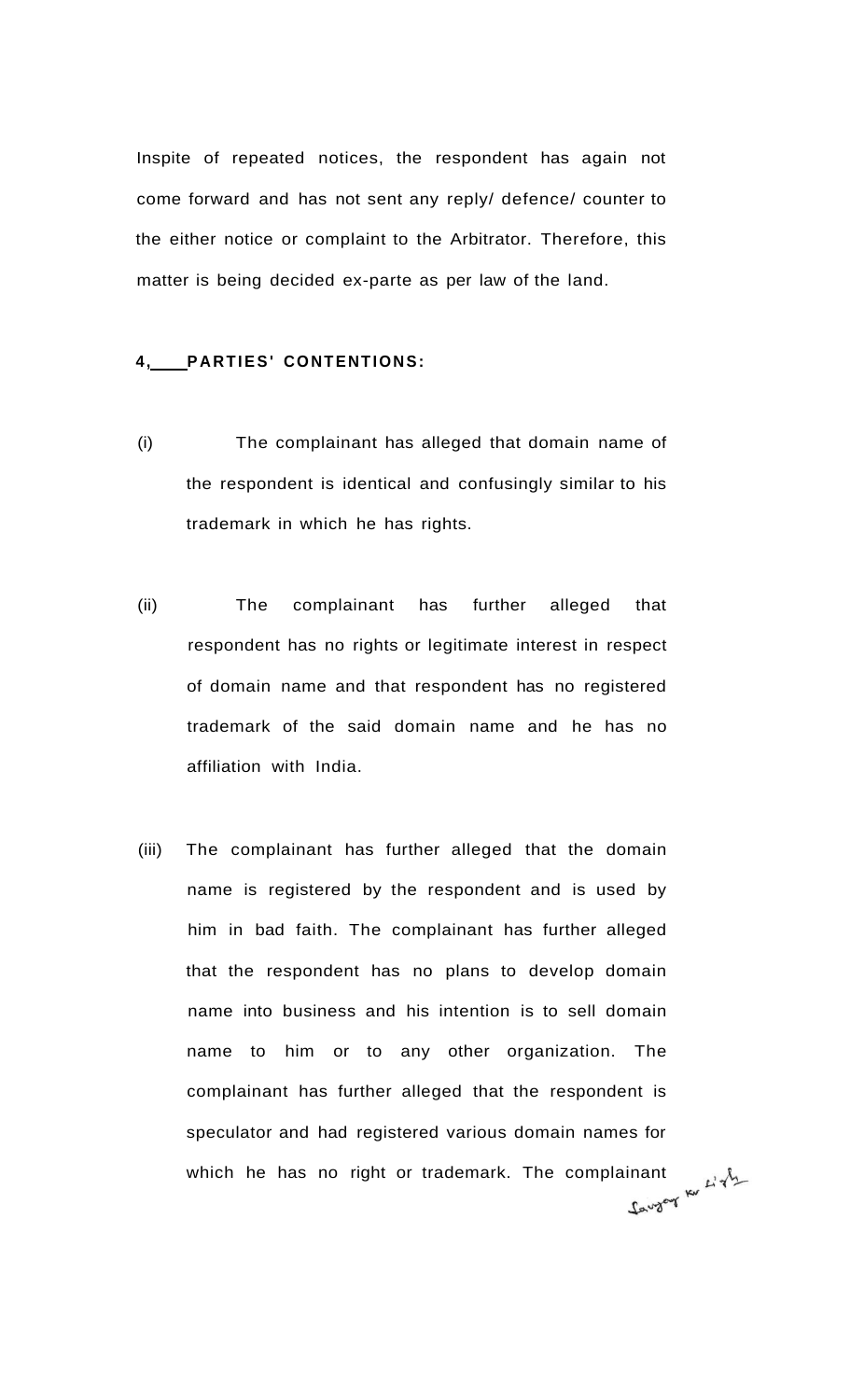Inspite of repeated notices, the respondent has again not come forward and has not sent any reply/ defence/ counter to the either notice or complaint to the Arbitrator. Therefore, this matter is being decided ex-parte as per law of the land.

#### **4, PARTIES' CONTENTIONS:**

- (i) The complainant has alleged that domain name of the respondent is identical and confusingly similar to his trademark in which he has rights.
- (ii) The complainant has further alleged that respondent has no rights or legitimate interest in respect of domain name and that respondent has no registered trademark of the said domain name and he has no affiliation with India.
- (iii) The complainant has further alleged that the domain name is registered by the respondent and is used by him in bad faith. The complainant has further alleged that the respondent has no plans to develop domain name into business and his intention is to sell domain name to him or to any other organization. The complainant has further alleged that the respondent is speculator and had registered various domain names for which he has no right or trademark. The complainant  $\mu \rightarrow$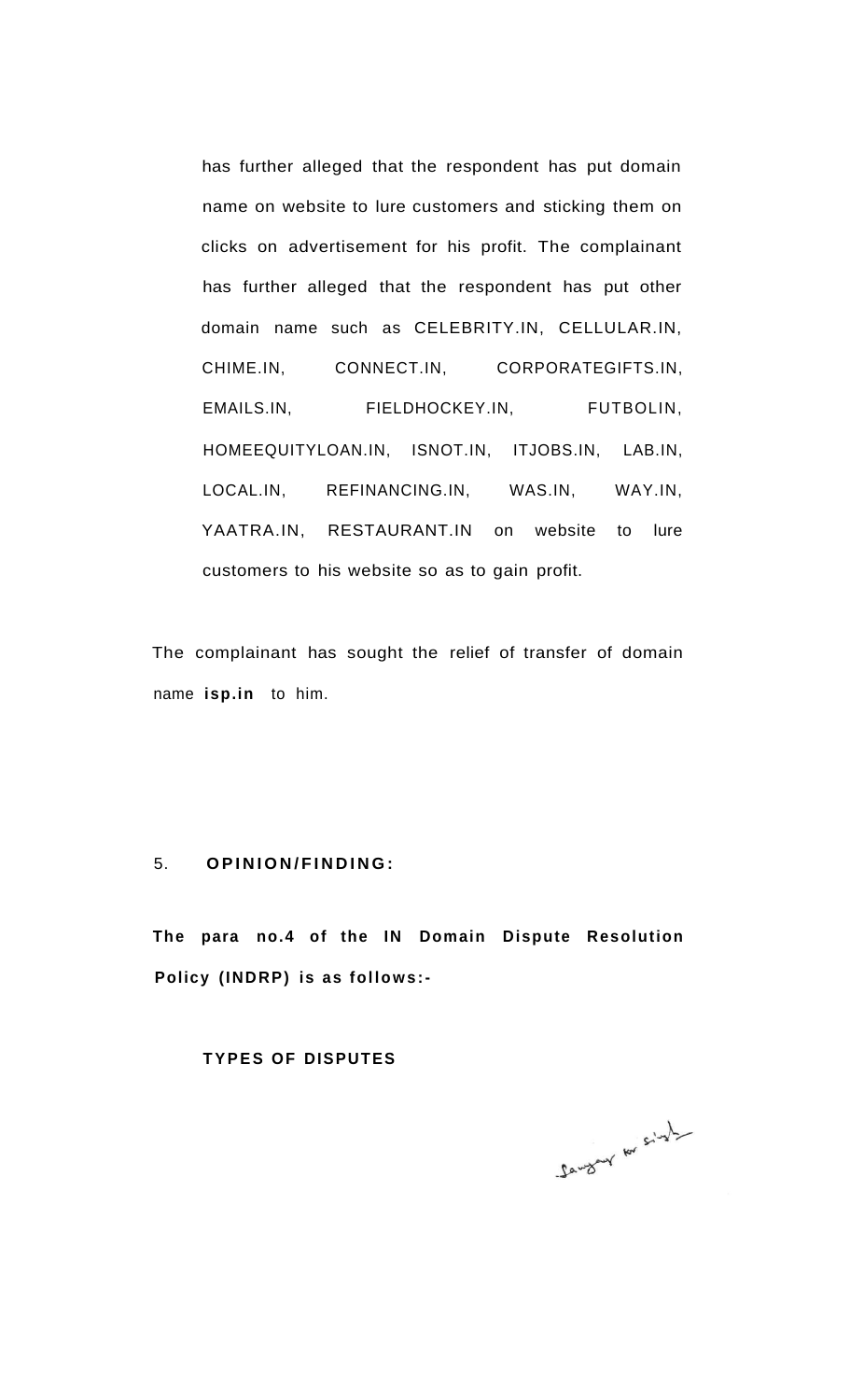has further alleged that the respondent has put domain name on website to lure customers and sticking them on clicks on advertisement for his profit. The complainant has further alleged that the respondent has put other domain name such as CELEBRITY.IN, CELLULAR.IN, CHIME.IN, CONNECT.IN, CORPORATEGIFTS.IN, EMAILS.IN, FIELDHOCKEY.IN, FUTBOLIN, HOMEEQUITYLOAN.IN, ISNOT.IN, ITJOBS.IN, LAB.IN, LOCAL.IN, REFINANCING.IN, WAS.IN, WAY.IN, YAATRA.IN, RESTAURANT.IN on website to lure customers to his website so as to gain profit.

The complainant has sought the relief of transfer of domain name **isp.in** to him.

#### 5. **OPINION/FINDING :**

**The para no.4 of the IN Domain Dispute Resolution Policy (INDRP) is as follows:-**

#### **TYPES OF DISPUTES**

Sangry for singly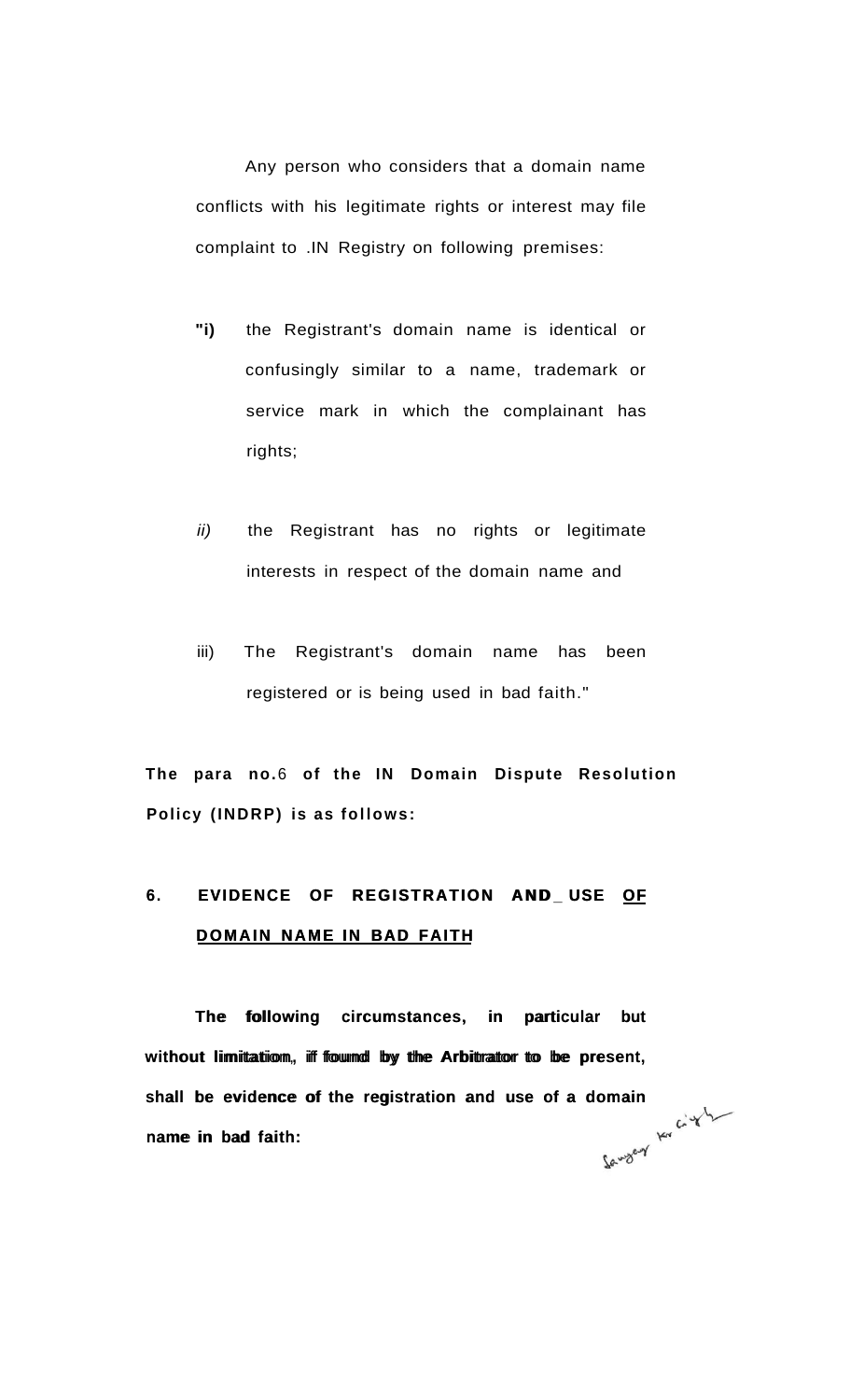Any person who considers that a domain name conflicts with his legitimate rights or interest may file complaint to .IN Registry on following premises:

- **"i)** the Registrant's domain name is identical or confusingly similar to a name, trademark or service mark in which the complainant has rights;
- ii) the Registrant has no rights or legitimate interests in respect of the domain name and
- iii) The Registrant's domain name has been registered or is being used in bad faith."

**The para no.**6 **of the IN Domain Dispute Resolution Policy (INDRP) is as follows:** 

## 6. EVIDENCE OF REGISTRATION AND USE OF **DOMAIN NAME IN BAD FAITH**

The following circumstances, in particular but without limitation, if found by the Arbitrator to be present, shall be evidence of the registration and use of a domain<br>name in bad faith:<br> $\int_0^1 x^{\sqrt{3}}$ name in bad faith: **6. EVIDENCE OF REGISTRATION AND\_USE OF DOMAIN NAME IN BAD FAITH**<br>DOMAIN NAME IN BAD FAITH<br>The following circumstances, in particular but without limitation, if found by the Arbitrator to be present, shall be evidence of t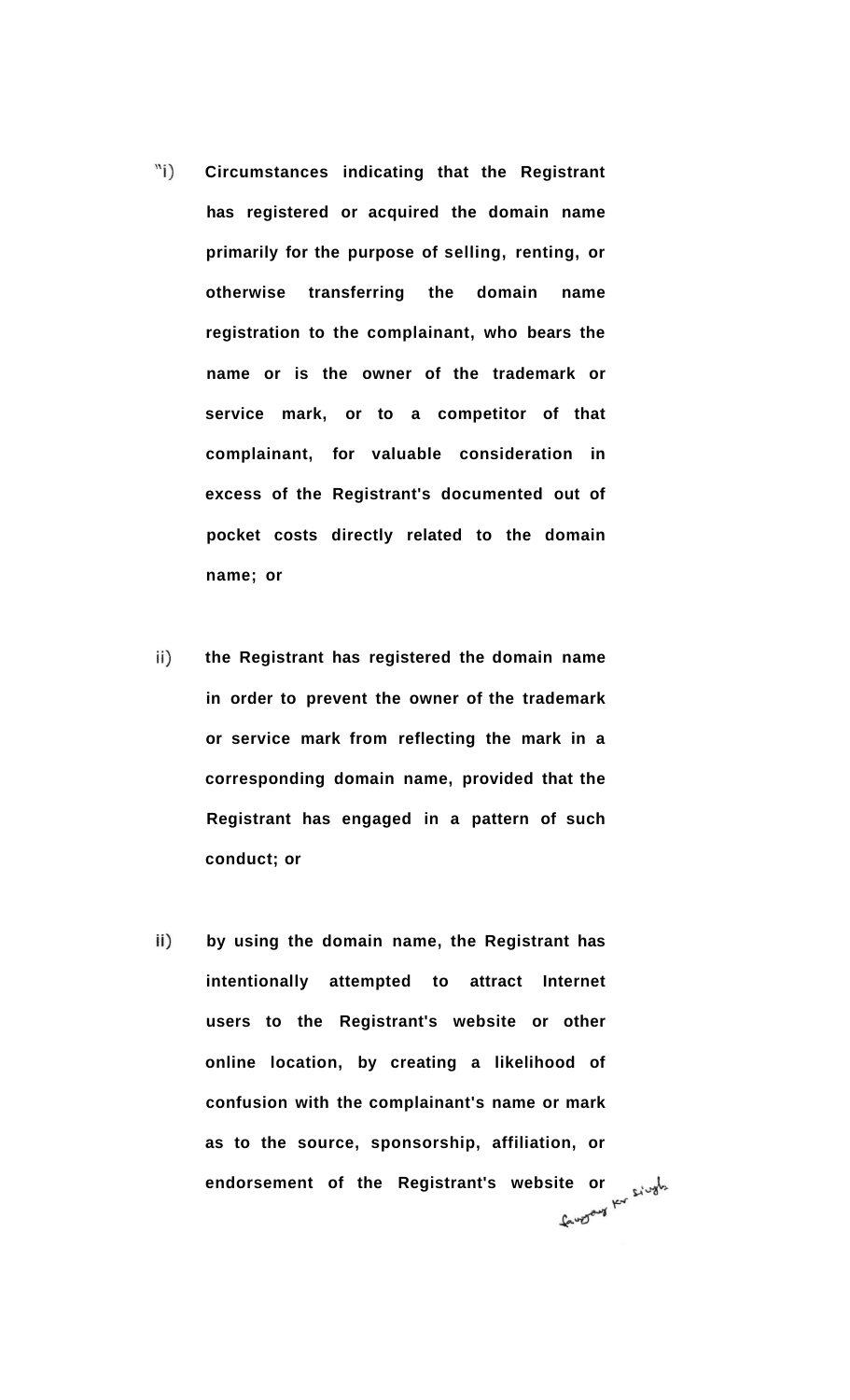- $\binom{n}{i}$ **Circumstances indicating that the Registrant has registered or acquired the domain name primarily for the purpose of selling, renting, or otherwise transferring the domain name registration to the complainant, who bears the name or is the owner of the trademark or service mark, or to a competitor of that complainant, for valuable consideration in excess of the Registrant's documented out of pocket costs directly related to the domain name; or**
- ii) **the Registrant has registered the domain name in order to prevent the owner of the trademark or service mark from reflecting the mark in a corresponding domain name, provided that the Registrant has engaged in a pattern of such conduct; or**
- $\mathsf{ii}$ ) **by using the domain name, the Registrant has intentionally attempted to attract Internet users to the Registrant's website or other online location, by creating a likelihood of confusion with the complainant's name or mark as to the source, sponsorship, affiliation, or**  endorsement of the Registrant's website or **shipped to the Registrant's** website or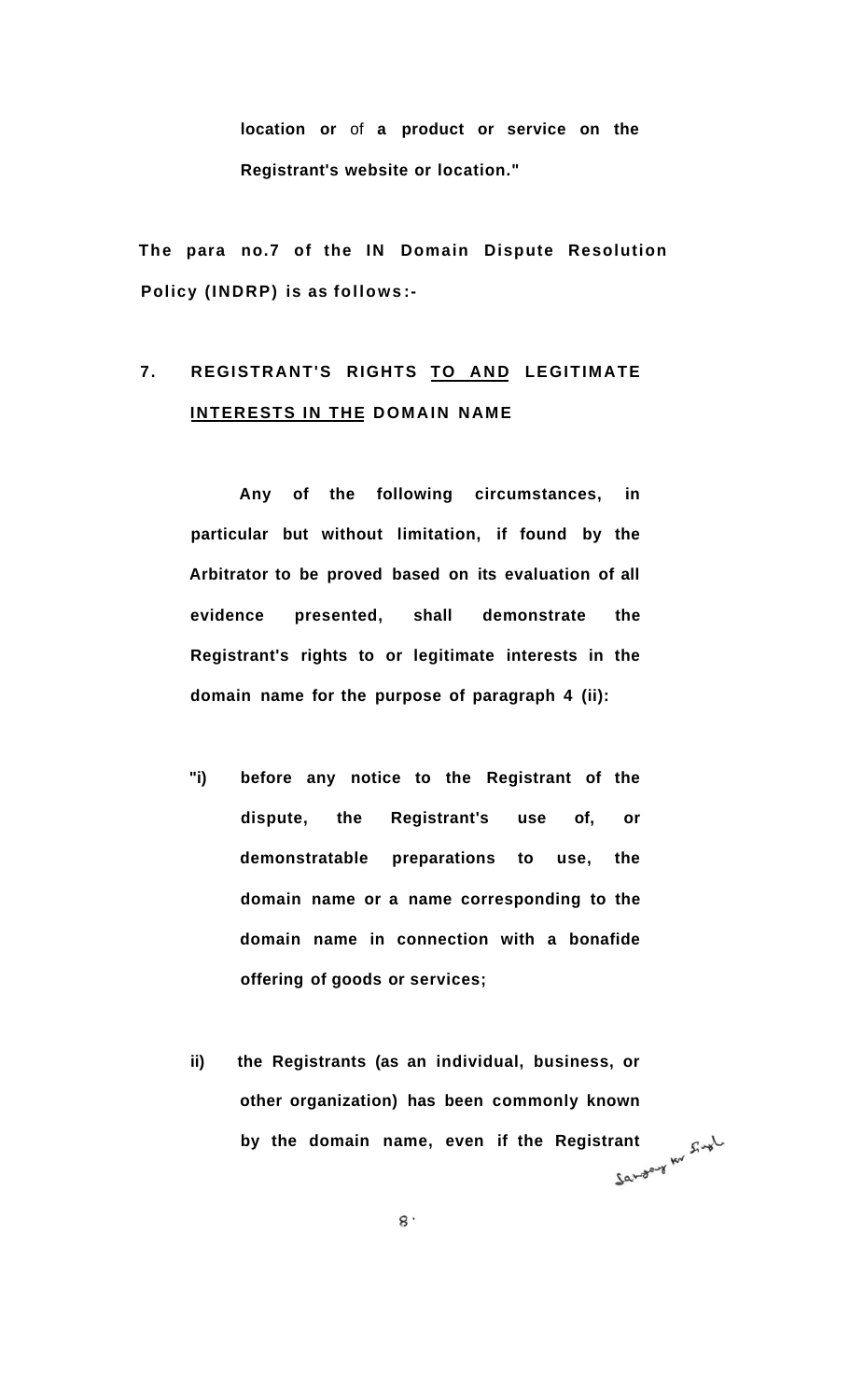**location or** of **a product or service on the Registrant's website or location."** 

**The para no.7 of the IN Domain Dispute Resolution Policy (INDRP) is as follows :-**

## 7. REGISTRANT'S RIGHTS TO AND LEGITIMATE **INTERESTS IN THE DOMAIN NAME**

**Any of the following circumstances, in particular but without limitation, if found by the Arbitrator to be proved based on its evaluation of all evidence presented, shall demonstrate the Registrant's rights to or legitimate interests in the domain name for the purpose of paragraph 4 (ii):** 

- **"i) before any notice to the Registrant of the dispute, the Registrant's use of, or demonstratable preparations to use, the domain name or a name corresponding to the domain name in connection with a bonafide offering of goods or services;**
- **ii) the Registrants (as an individual, business, or other organization) has been commonly known**  by the domain name, even if the Registrant  $\mathbb{R}^{\downarrow}$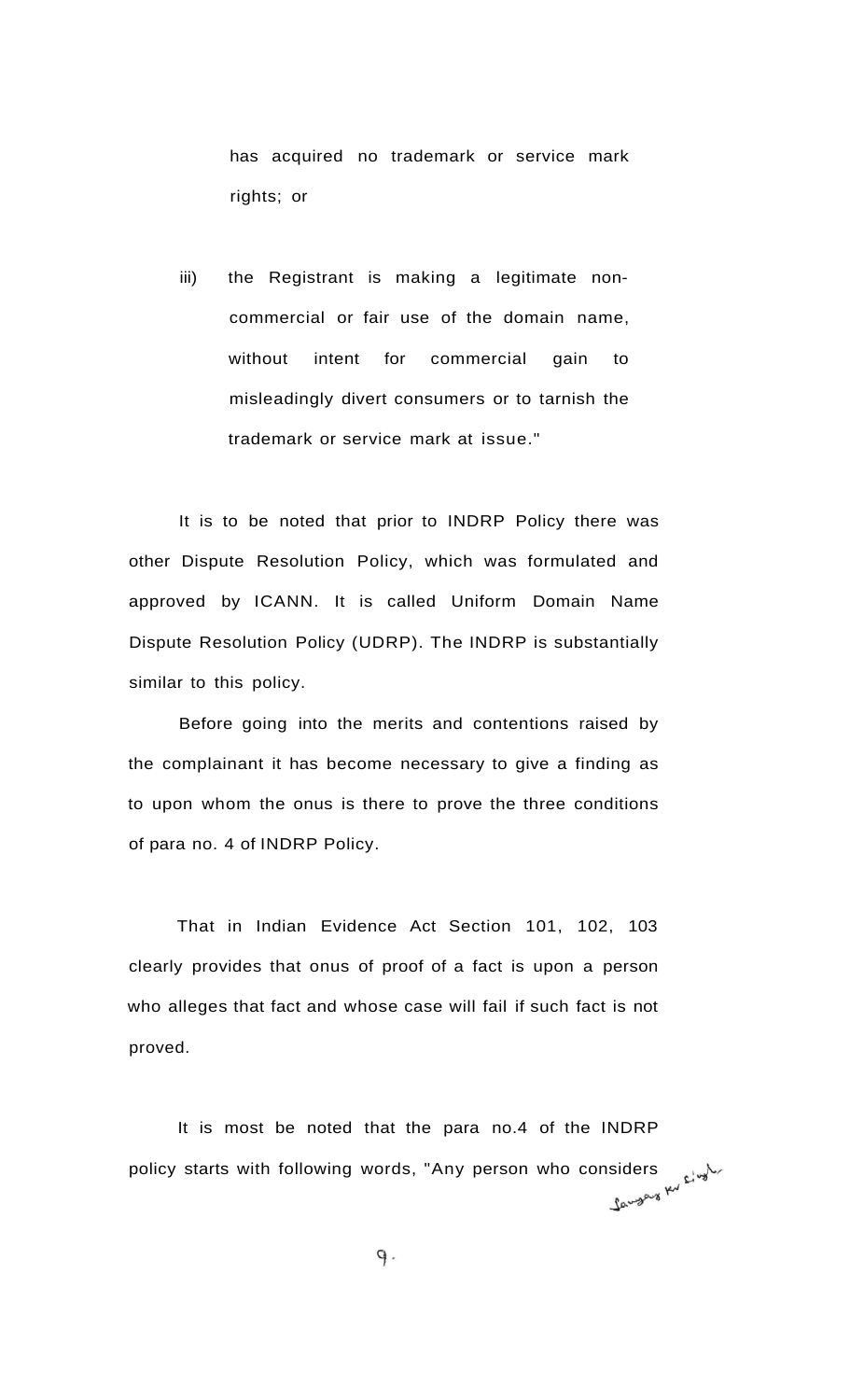has acquired no trademark or service mark rights; or

iii) the Registrant is making a legitimate noncommercial or fair use of the domain name, without intent for commercial gain to misleadingly divert consumers or to tarnish the trademark or service mark at issue."

It is to be noted that prior to INDRP Policy there was other Dispute Resolution Policy, which was formulated and approved by ICANN. It is called Uniform Domain Name Dispute Resolution Policy (UDRP). The INDRP is substantially similar to this policy.

Before going into the merits and contentions raised by the complainant it has become necessary to give a finding as to upon whom the onus is there to prove the three conditions of para no. 4 of INDRP Policy.

That in Indian Evidence Act Section 101, 102, 103 clearly provides that onus of proof of a fact is upon a person who alleges that fact and whose case will fail if such fact is not proved.

It is most be noted that the para no.4 of the INDRP policy starts with following words, "Any person who considers with  $\frac{1}{2}$ 

 $9.$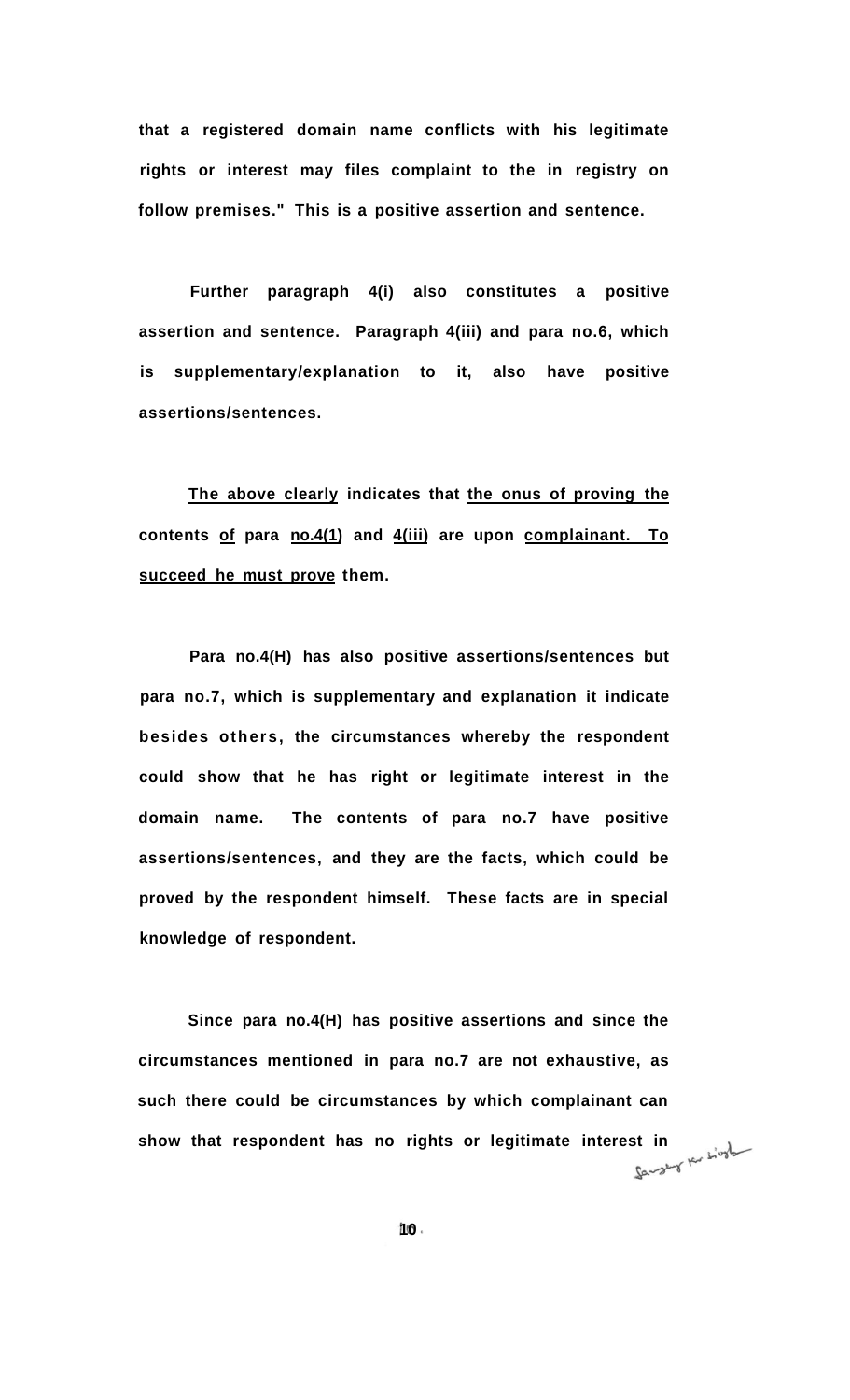**that a registered domain name conflicts with his legitimate rights or interest may files complaint to the in registry on follow premises." This is a positive assertion and sentence.** 

**Further paragraph 4(i) also constitutes a positive assertion and sentence. Paragraph 4(iii) and para no.6, which is supplementary/explanation to it, also have positive assertions/sentences.** 

**The above clearly indicates that the onus of proving the contents of para no.4(1) and 4(iii) are upon complainant. To succeed he must prove them.** 

**Para no.4(H) has also positive assertions/sentences but para no.7, which is supplementary and explanation it indicate besides others, the circumstances whereby the respondent could show that he has right or legitimate interest in the domain name. The contents of para no.7 have positive assertions/sentences, and they are the facts, which could be proved by the respondent himself. These facts are in special knowledge of respondent.** 

**Since para no.4(H) has positive assertions and since the circumstances mentioned in para no.7 are not exhaustive, as such there could be circumstances by which complainant can show that respondent has no rights or legitimate interest in**  $\frac{1}{2}$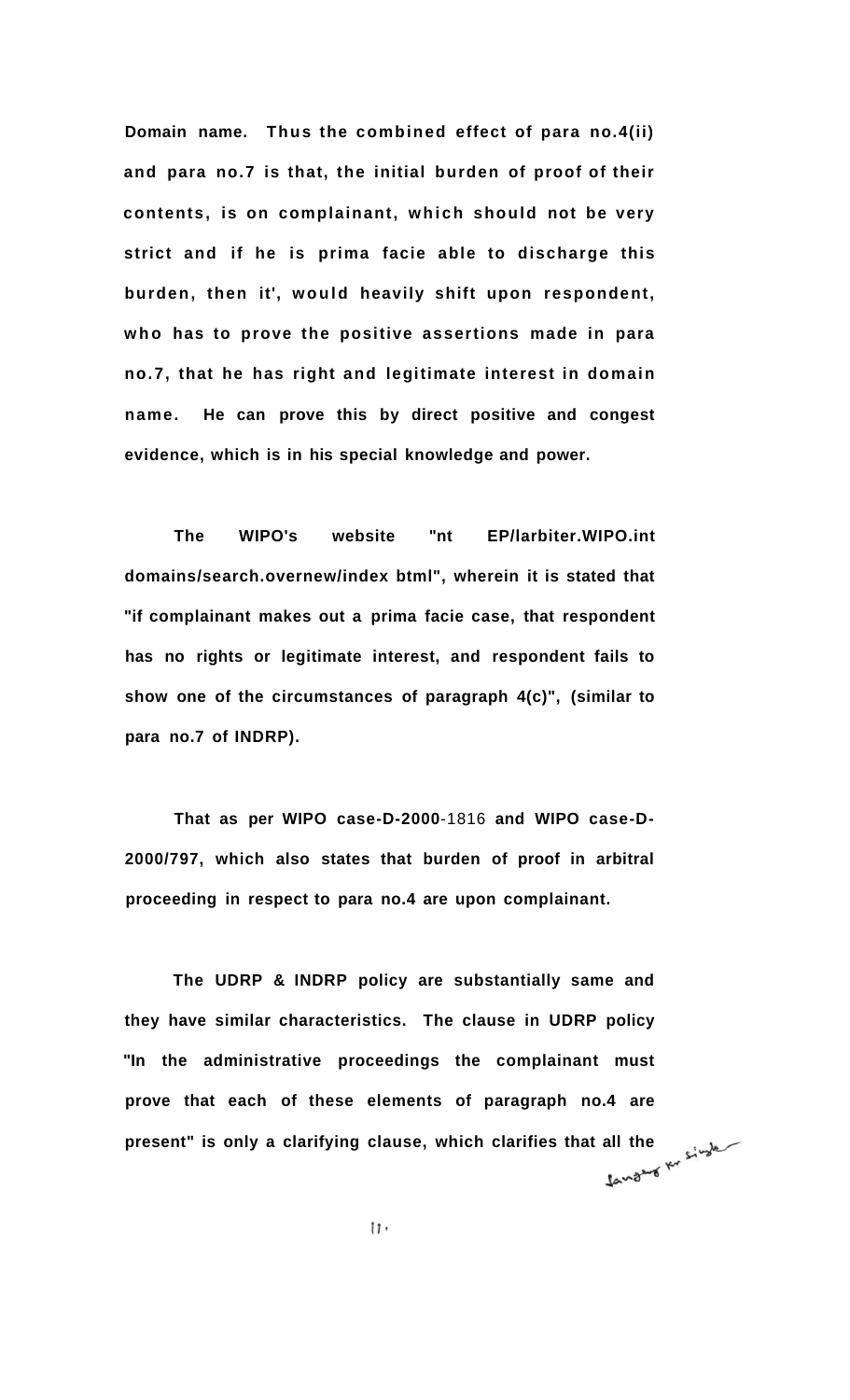**Domain name. Thus the combined effect of para no.4(ii) and para no.7 is that, the initial burden of proof of their contents, is on complainant, which should not be very strict and if he is prima facie able to discharge this burden, then it', would heavily shift upon respondent,**  who has to prove the positive assertions made in para **no.7, that he has right and legitimate interest in domain name. He can prove this by direct positive and congest evidence, which is in his special knowledge and power.** 

**The WIPO's website "nt EP/larbiter.WIPO.int domains/search.overnew/index btml", wherein it is stated that "if complainant makes out a prima facie case, that respondent has no rights or legitimate interest, and respondent fails to show one of the circumstances of paragraph 4(c)", (similar to para no.7 of INDRP).** 

**That as per WIPO case-D-2000**-1816 **and WIPO case-D-2000/797, which also states that burden of proof in arbitral proceeding in respect to para no.4 are upon complainant.** 

**The UDRP & INDRP policy are substantially same and they have similar characteristics. The clause in UDRP policy "In the administrative proceedings the complainant must prove that each of these elements of paragraph no.4 are present" is only a clarifying clause, which clarifies that all the**  $\frac{1}{2}$ 

 $11.$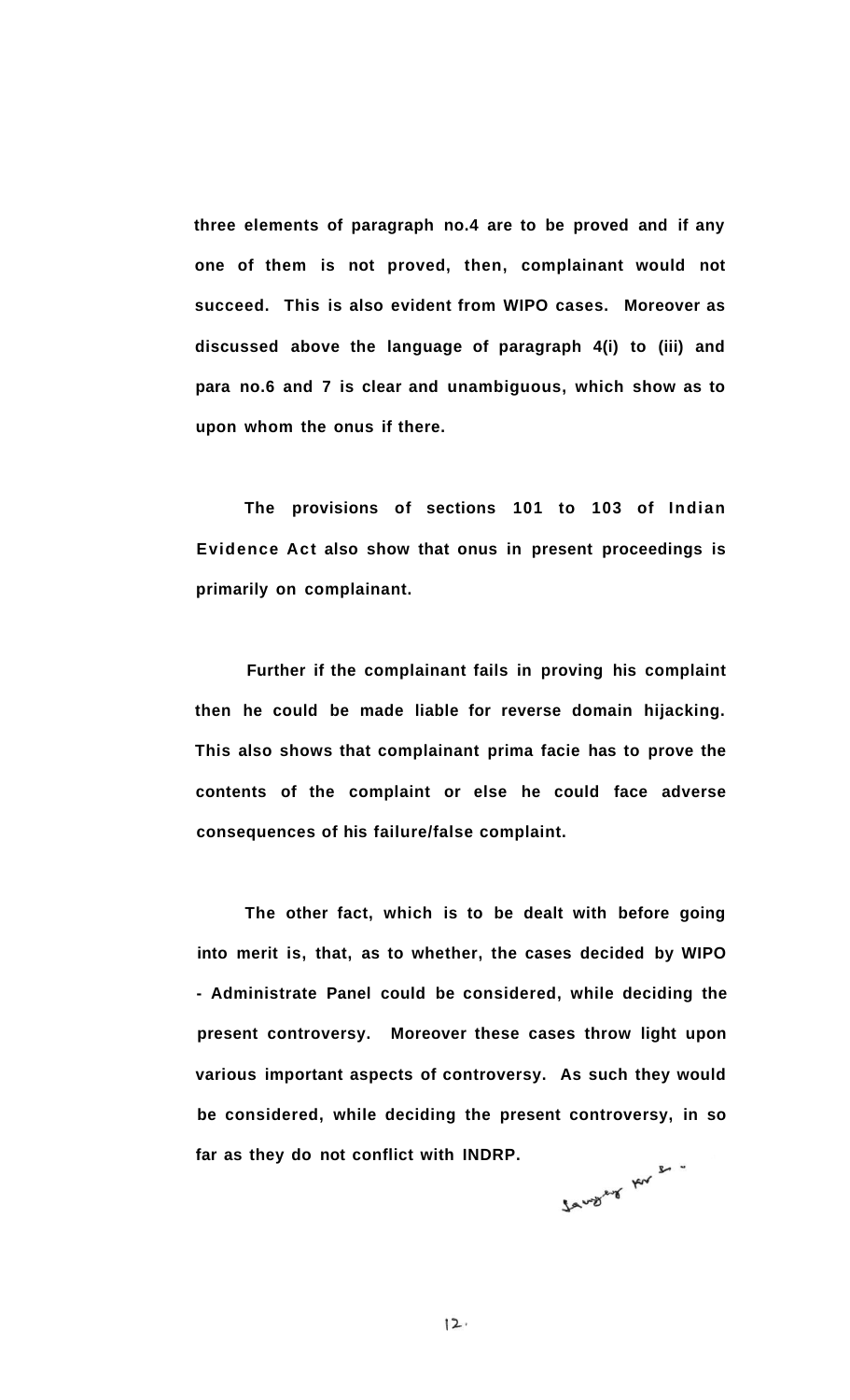**three elements of paragraph no.4 are to be proved and if any one of them is not proved, then, complainant would not succeed. This is also evident from WIPO cases. Moreover as discussed above the language of paragraph 4(i) to (iii) and para no.6 and 7 is clear and unambiguous, which show as to upon whom the onus if there.** 

**The provisions of sections 101 to 103 of Indian Evidence Act also show that onus in present proceedings is primarily on complainant.** 

**Further if the complainant fails in proving his complaint then he could be made liable for reverse domain hijacking. This also shows that complainant prima facie has to prove the contents of the complaint or else he could face adverse consequences of his failure/false complaint.** 

**The other fact, which is to be dealt with before going into merit is, that, as to whether, the cases decided by WIPO - Administrate Panel could be considered, while deciding the present controversy. Moreover these cases throw light upon various important aspects of controversy. As such they would be considered, while deciding the present controversy, in so far as they do not conflict with INDRP.** 

Javyey Av 2.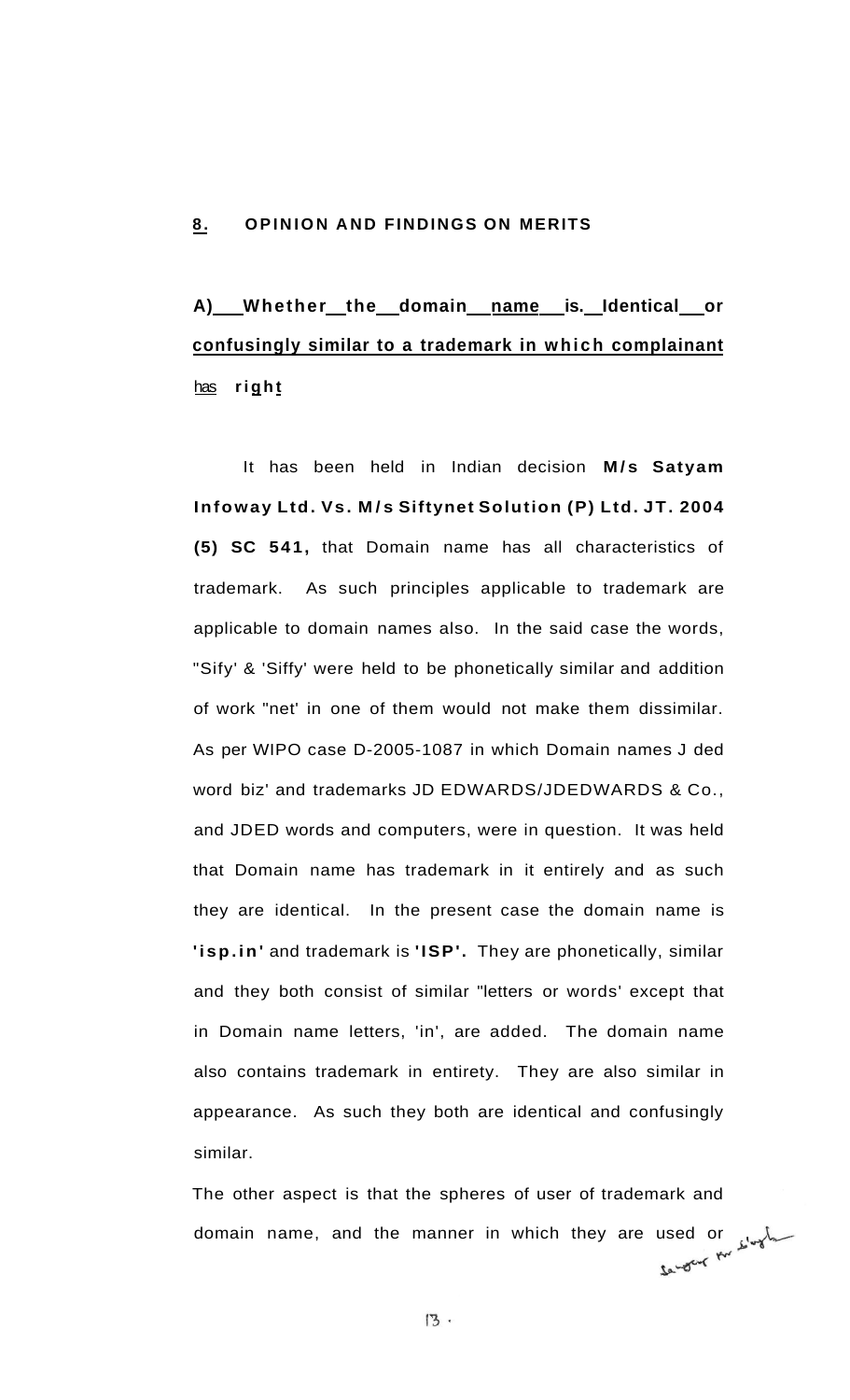#### **8. OPINION AND FINDINGS ON MERITS**

# **A) Whether the domain name is. Identical or confusingly similar to a trademark in which complainant**  has **righ t**

It has been held in Indian decision M/s Satyam **Infoway Ltd. Vs. M/ s Siftynet Solution (P) Ltd. JT. 2004 (5) SC 541,** that Domain name has all characteristics of trademark. As such principles applicable to trademark are applicable to domain names also. In the said case the words, "Sify' & 'Siffy' were held to be phonetically similar and addition of work "net' in one of them would not make them dissimilar. As per WIPO case D-2005-1087 in which Domain names J ded word biz' and trademarks JD EDWARDS/JDEDWARDS & Co., and JDED words and computers, were in question. It was held that Domain name has trademark in it entirely and as such they are identical. In the present case the domain name is **'isp.in'** and trademark is **'ISP'.** They are phonetically, similar and they both consist of similar "letters or words' except that in Domain name letters, 'in', are added. The domain name also contains trademark in entirety. They are also similar in appearance. As such they both are identical and confusingly similar.

The other aspect is that the spheres of user of trademark and domain name, and the manner in which they are used or  $\frac{1}{2}$   $\frac{1}{2}$   $\frac{1}{2}$   $\frac{1}{2}$   $\frac{1}{2}$   $\frac{1}{2}$   $\frac{1}{2}$   $\frac{1}{2}$   $\frac{1}{2}$   $\frac{1}{2}$   $\frac{1}{2}$   $\frac{1}{2}$   $\frac{1}{2}$   $\frac{1}{2}$   $\frac{1}{2}$   $\frac{1}{2}$   $\frac{1}{2$ 

 $13.$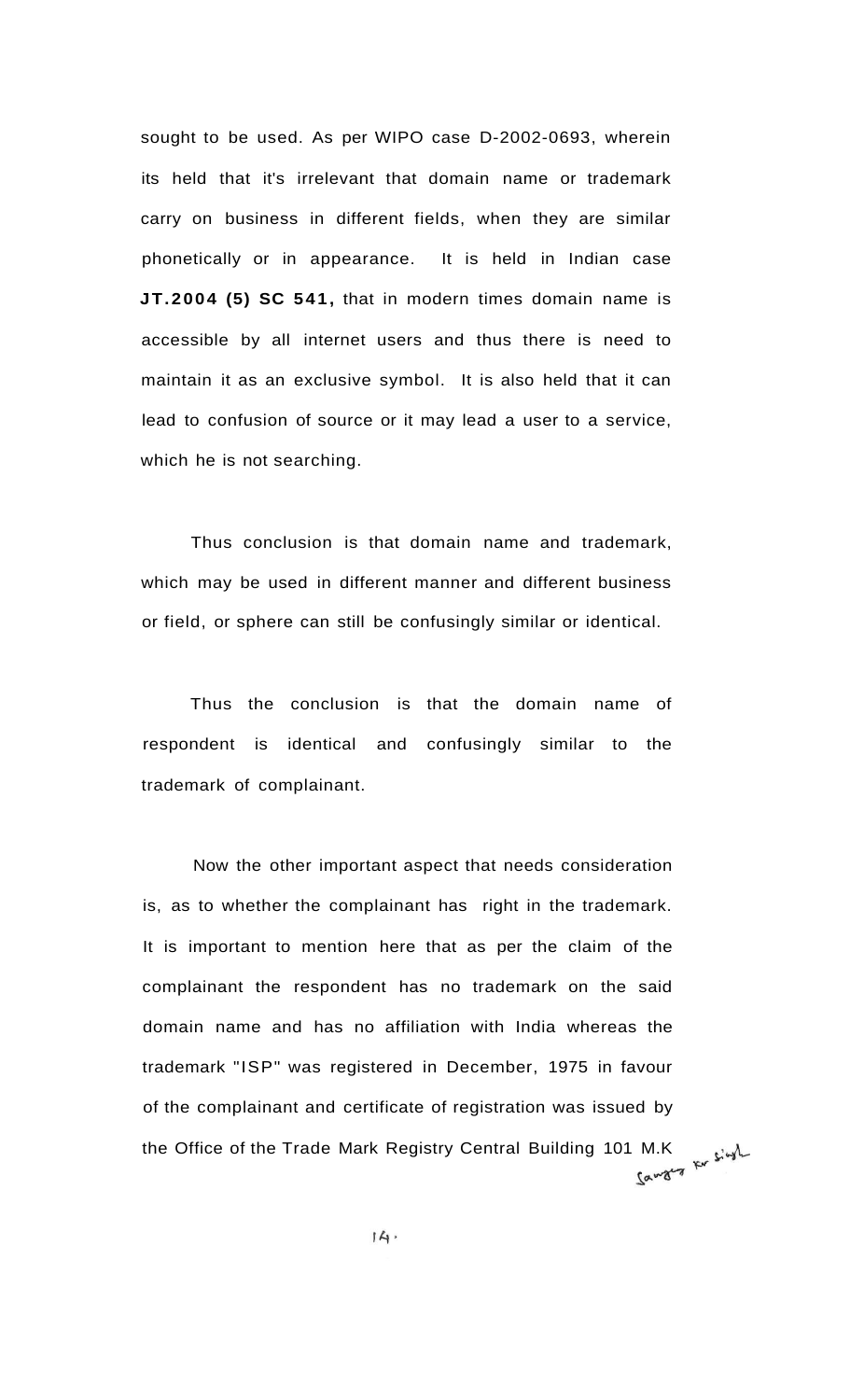sought to be used. As per WIPO case D-2002-0693, wherein its held that it's irrelevant that domain name or trademark carry on business in different fields, when they are similar phonetically or in appearance. It is held in Indian case **JT.2004 (5) SC 541,** that in modern times domain name is accessible by all internet users and thus there is need to maintain it as an exclusive symbol. It is also held that it can lead to confusion of source or it may lead a user to a service, which he is not searching.

Thus conclusion is that domain name and trademark, which may be used in different manner and different business or field, or sphere can still be confusingly similar or identical.

Thus the conclusion is that the domain name of respondent is identical and confusingly similar to the trademark of complainant.

Now the other important aspect that needs consideration is, as to whether the complainant has right in the trademark. It is important to mention here that as per the claim of the complainant the respondent has no trademark on the said domain name and has no affiliation with India whereas the trademark "ISP" was registered in December, 1975 in favour of the complainant and certificate of registration was issued by the Office of the Trade Mark Registry Central Building 101 M.K<br>
Fig. 5.44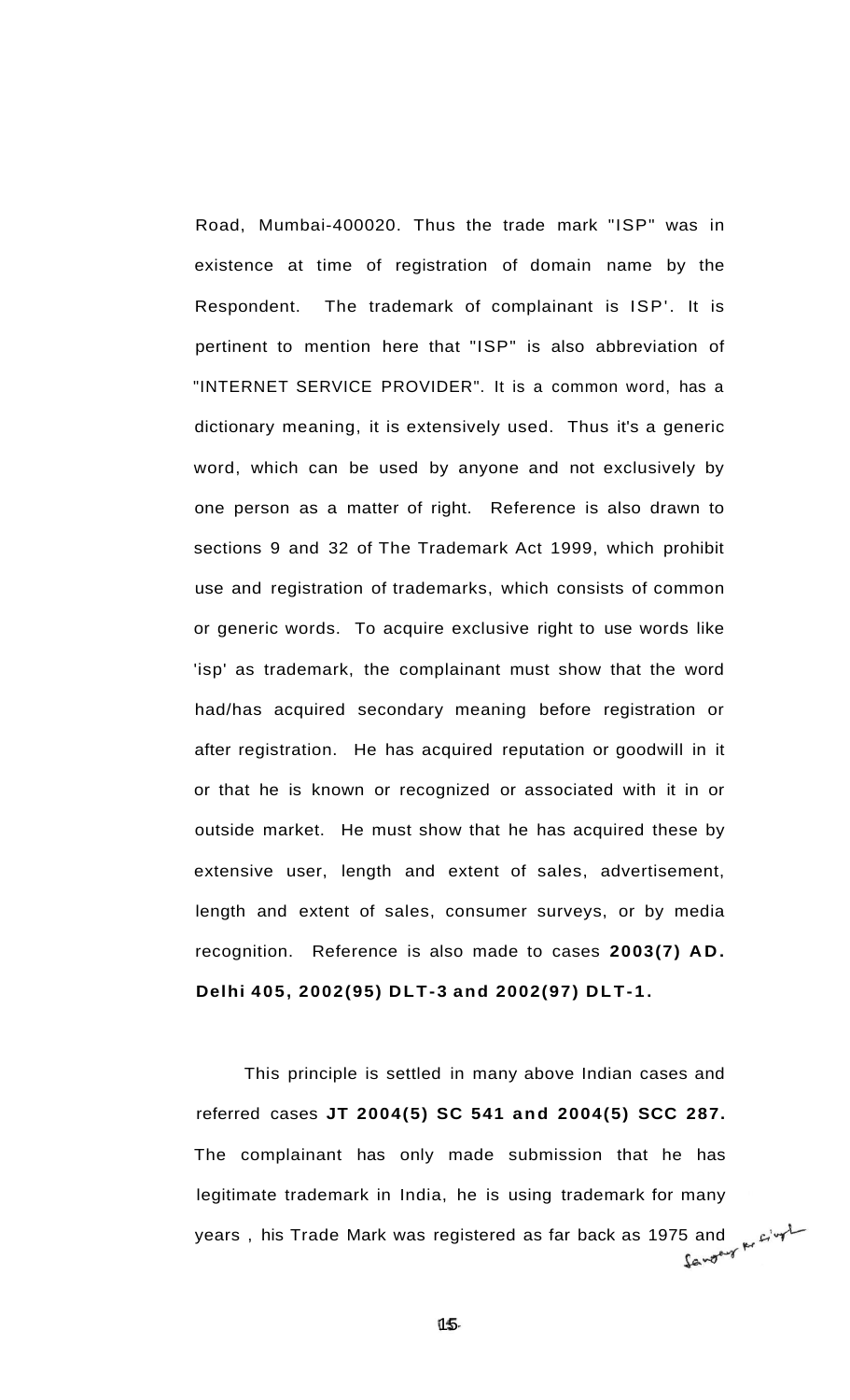Road, Mumbai-400020. Thus the trade mark "ISP" was in existence at time of registration of domain name by the Respondent. The trademark of complainant is ISP'. It is pertinent to mention here that "ISP" is also abbreviation of "INTERNET SERVICE PROVIDER". It is a common word, has a dictionary meaning, it is extensively used. Thus it's a generic word, which can be used by anyone and not exclusively by one person as a matter of right. Reference is also drawn to sections 9 and 32 of The Trademark Act 1999, which prohibit use and registration of trademarks, which consists of common or generic words. To acquire exclusive right to use words like 'isp' as trademark, the complainant must show that the word had/has acquired secondary meaning before registration or after registration. He has acquired reputation or goodwill in it or that he is known or recognized or associated with it in or outside market. He must show that he has acquired these by extensive user, length and extent of sales, advertisement, length and extent of sales, consumer surveys, or by media recognition. Reference is also made to cases **2003(7) AD . Delhi 405, 2002(95) DLT-3 and 2002(97) DLT-1 .** 

This principle is settled in many above Indian cases and referred cases **JT 2004(5) SC 541 and 2004(5) SCC 287.**  The complainant has only made submission that he has legitimate trademark in India, he is using trademark for many years, his Trade Mark was registered as far back as 1975 and weight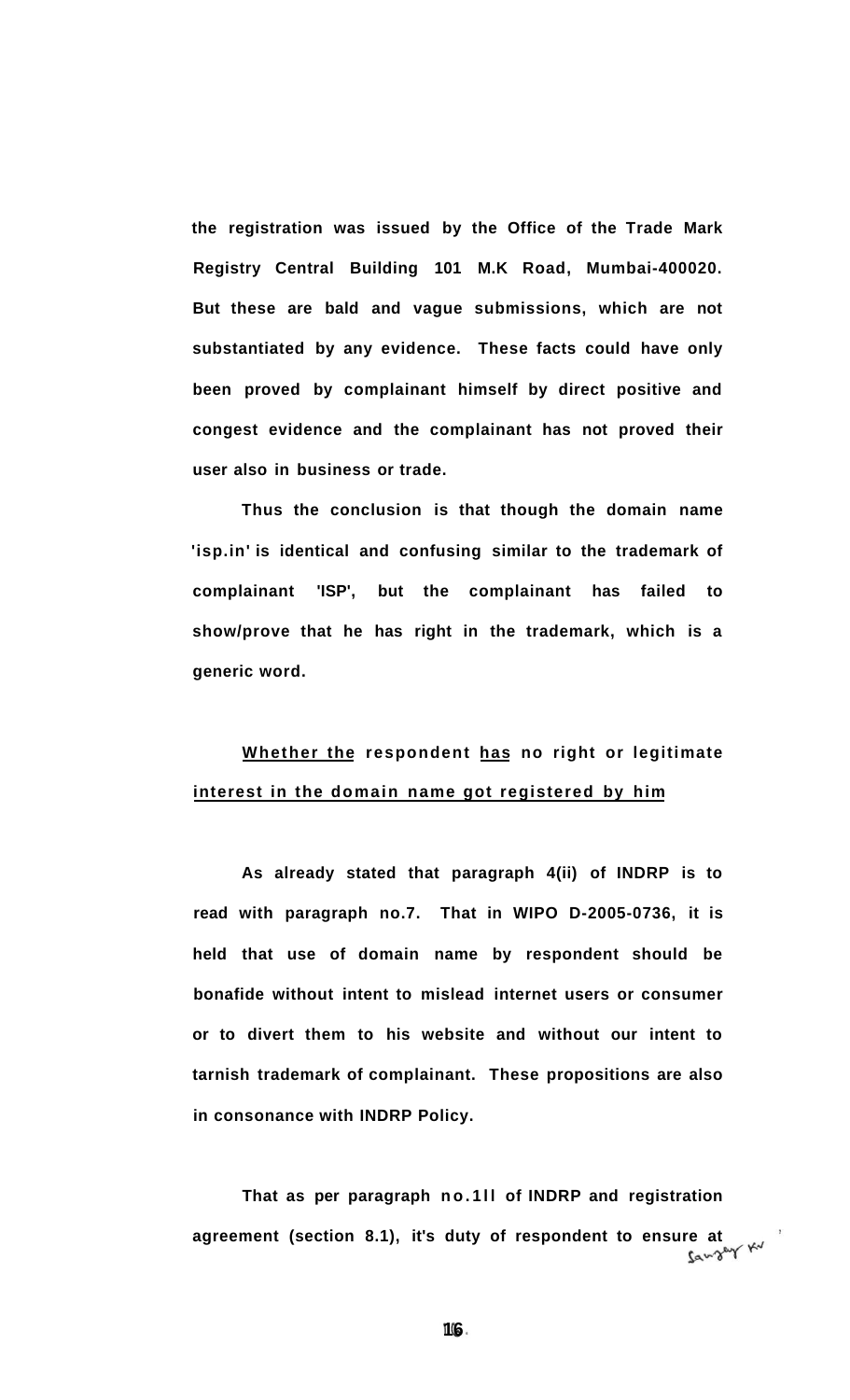**the registration was issued by the Office of the Trade Mark Registry Central Building 101 M.K Road, Mumbai-400020. But these are bald and vague submissions, which are not substantiated by any evidence. These facts could have only been proved by complainant himself by direct positive and congest evidence and the complainant has not proved their user also in business or trade.** 

**Thus the conclusion is that though the domain name 'isp.in' is identical and confusing similar to the trademark of complainant 'ISP', but the complainant has failed to show/prove that he has right in the trademark, which is a generic word.** 

### **Whether the respondent has no right or legitimate interest in the domain name got registered by him**

**As already stated that paragraph 4(ii) of INDRP is to read with paragraph no.7. That in WIPO D-2005-0736, it is held that use of domain name by respondent should be bonafide without intent to mislead internet users or consumer or to divert them to his website and without our intent to tarnish trademark of complainant. These propositions are also in consonance with INDRP Policy.** 

That as per paragraph no.1II of INDRP and registration agreement (section 8.1), it's duty of respondent to ensure at<br>**takeo**<sup>6</sup>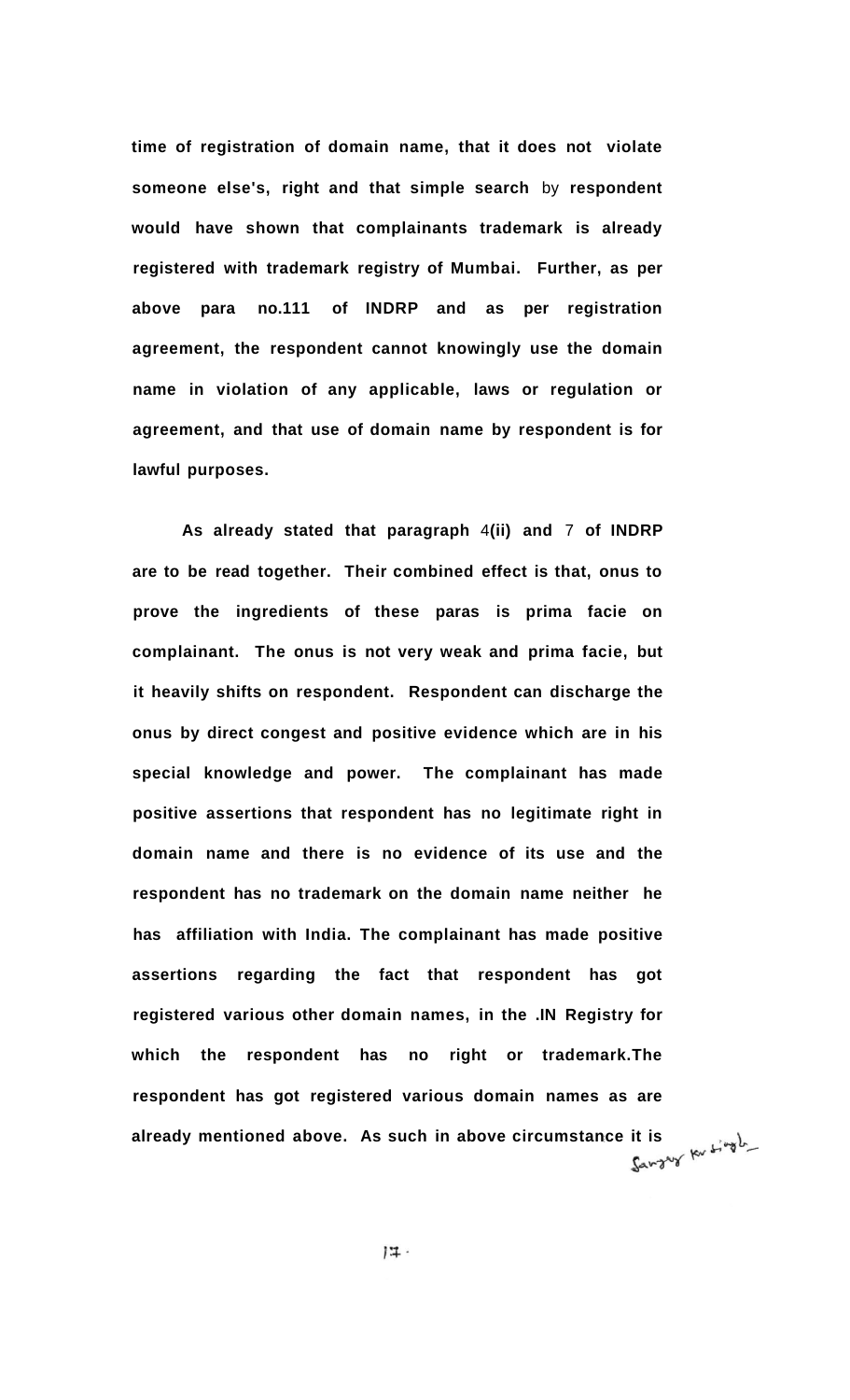**time of registration of domain name, that it does not violate someone else's, right and that simple search** by **respondent would have shown that complainants trademark is already registered with trademark registry of Mumbai. Further, as per above para no.111 of INDRP and as per registration agreement, the respondent cannot knowingly use the domain name in violation of any applicable, laws or regulation or agreement, and that use of domain name by respondent is for lawful purposes.** 

**As already stated that paragraph** 4**(ii) and** 7 **of INDRP are to be read together. Their combined effect is that, onus to prove the ingredients of these paras is prima facie on complainant. The onus is not very weak and prima facie, but it heavily shifts on respondent. Respondent can discharge the onus by direct congest and positive evidence which are in his special knowledge and power. The complainant has made positive assertions that respondent has no legitimate right in domain name and there is no evidence of its use and the respondent has no trademark on the domain name neither he has affiliation with India. The complainant has made positive assertions regarding the fact that respondent has got registered various other domain names, in the .IN Registry for which the respondent has no right or trademark.The respondent has got registered various domain names as are**  already mentioned above. As such in above circumstance it is **the substance of the set of the set of the set of**  $\mathbb{R}^n$  single

 $17 -$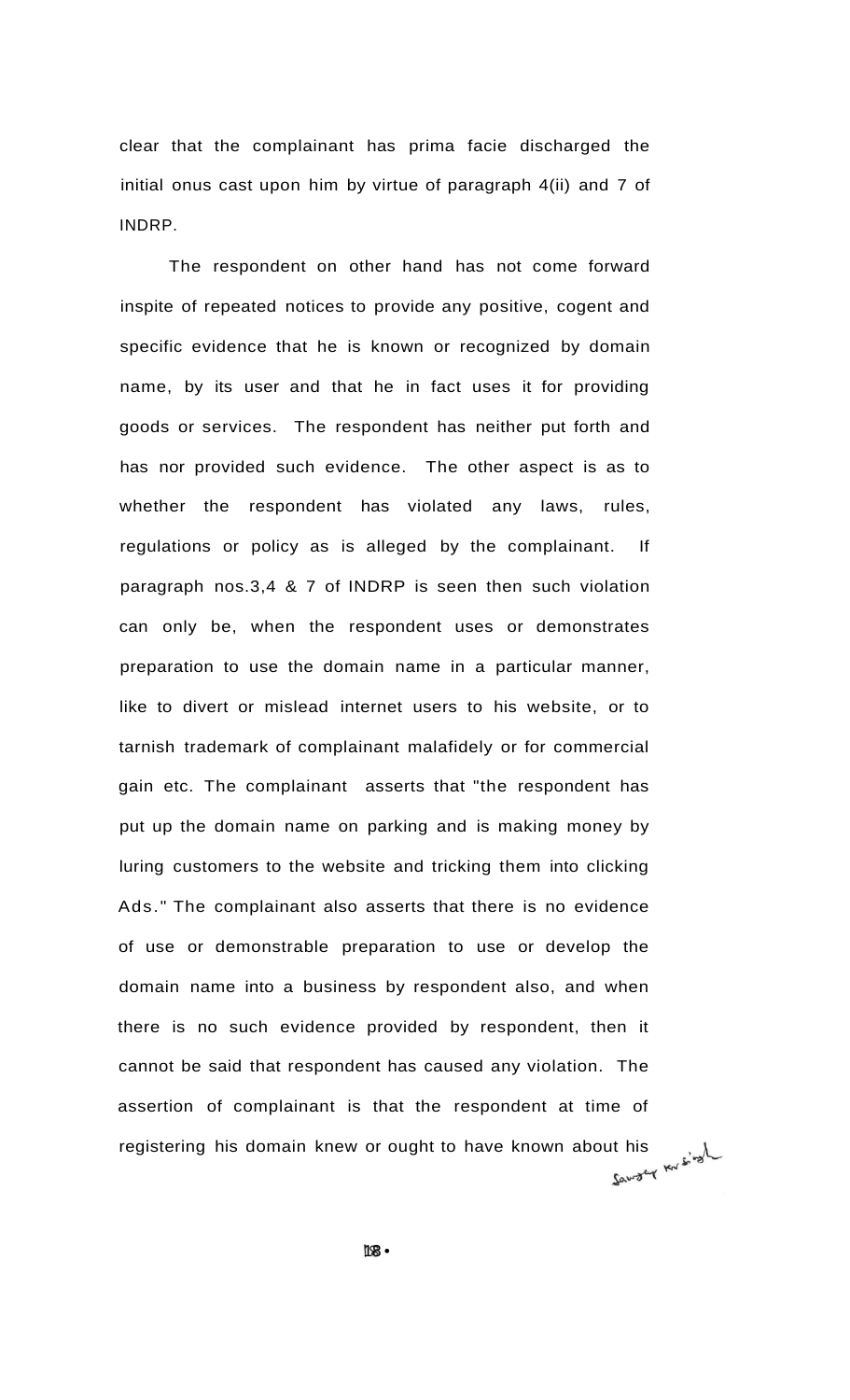clear that the complainant has prima facie discharged the initial onus cast upon him by virtue of paragraph 4(ii) and 7 of INDRP.

The respondent on other hand has not come forward inspite of repeated notices to provide any positive, cogent and specific evidence that he is known or recognized by domain name, by its user and that he in fact uses it for providing goods or services. The respondent has neither put forth and has nor provided such evidence. The other aspect is as to whether the respondent has violated any laws, rules, regulations or policy as is alleged by the complainant. If paragraph nos.3,4 & 7 of INDRP is seen then such violation can only be, when the respondent uses or demonstrates preparation to use the domain name in a particular manner, like to divert or mislead internet users to his website, or to tarnish trademark of complainant malafidely or for commercial gain etc. The complainant asserts that "the respondent has put up the domain name on parking and is making money by luring customers to the website and tricking them into clicking Ads." The complainant also asserts that there is no evidence of use or demonstrable preparation to use or develop the domain name into a business by respondent also, and when there is no such evidence provided by respondent, then it cannot be said that respondent has caused any violation. The assertion of complainant is that the respondent at time of registering his domain knew or ought to have known about his  $\mathbb{R}^2$ 

18 •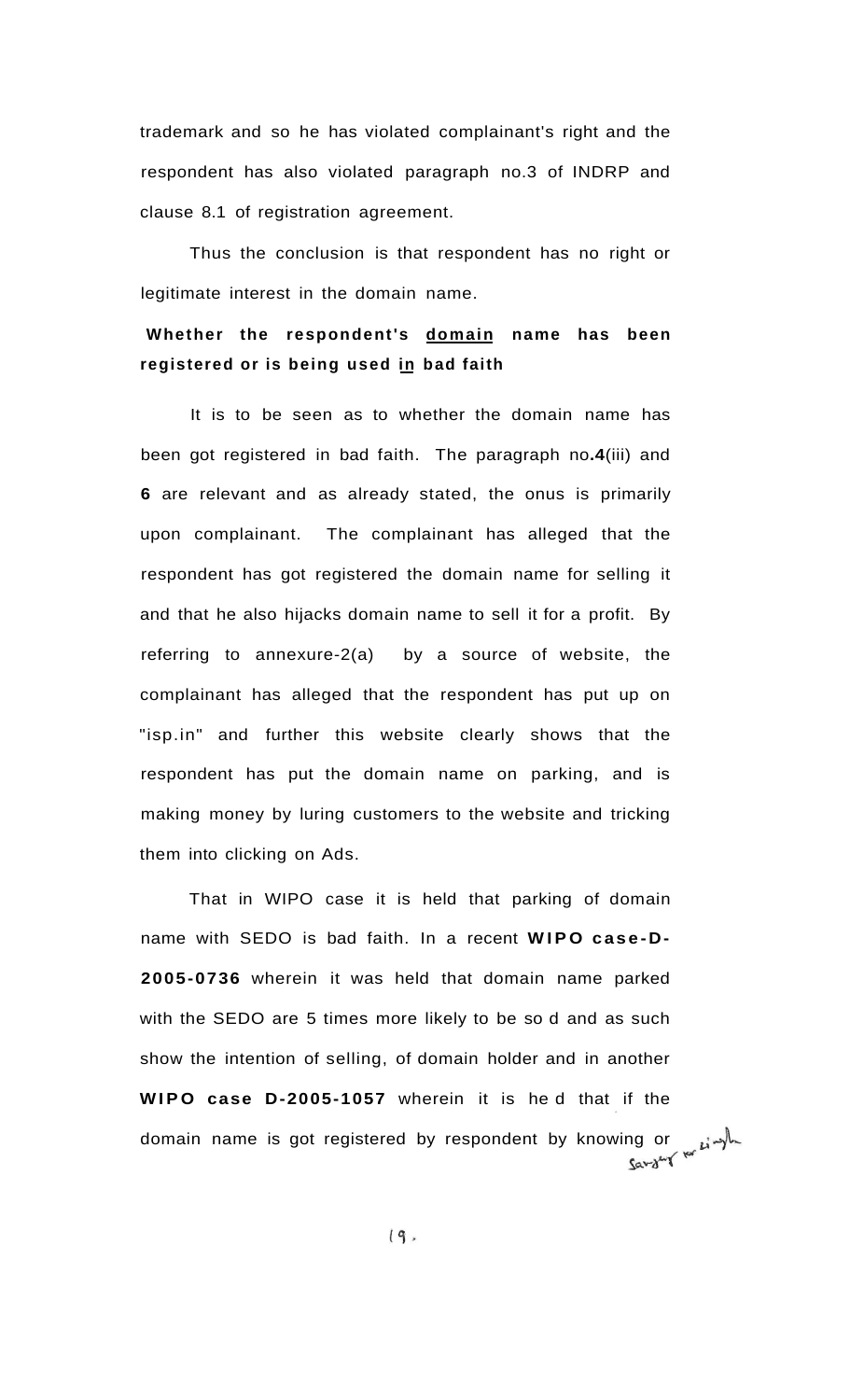trademark and so he has violated complainant's right and the respondent has also violated paragraph no.3 of INDRP and clause 8.1 of registration agreement.

Thus the conclusion is that respondent has no right or legitimate interest in the domain name.

### **Whether the respondent's domain name has been registered or is being used in bad faith**

It is to be seen as to whether the domain name has been got registered in bad faith. The paragraph no**.4**(iii) and **6** are relevant and as already stated, the onus is primarily upon complainant. The complainant has alleged that the respondent has got registered the domain name for selling it and that he also hijacks domain name to sell it for a profit. By referring to annexure-2(a) by a source of website, the complainant has alleged that the respondent has put up on "isp.in" and further this website clearly shows that the respondent has put the domain name on parking, and is making money by luring customers to the website and tricking them into clicking on Ads.

That in WIPO case it is held that parking of domain name with SEDO is bad faith. In a recent **WIPO case-D-2005-0736** wherein it was held that domain name parked with the SEDO are 5 times more likely to be so d and as such show the intention of selling, of domain holder and in another **WIP O case D-2005-1057** wherein it is he d that if the domain name is got registered by respondent by knowing or  $\mathcal{L}^{\mathcal{L}}$ 

 $(9.$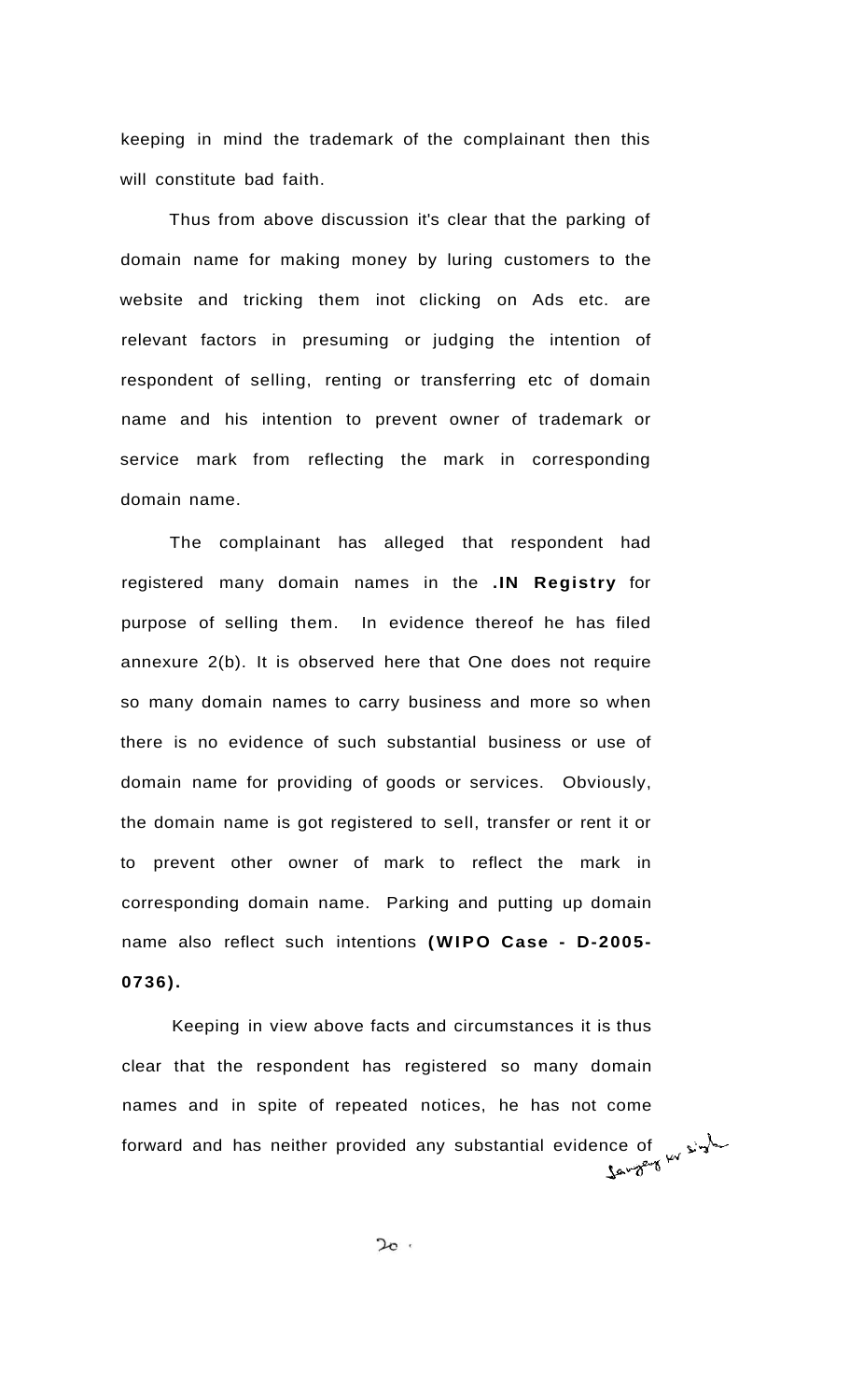keeping in mind the trademark of the complainant then this will constitute bad faith.

Thus from above discussion it's clear that the parking of domain name for making money by luring customers to the website and tricking them inot clicking on Ads etc. are relevant factors in presuming or judging the intention of respondent of selling, renting or transferring etc of domain name and his intention to prevent owner of trademark or service mark from reflecting the mark in corresponding domain name.

The complainant has alleged that respondent had registered many domain names in the **.IN Registry** for purpose of selling them. In evidence thereof he has filed annexure 2(b). It is observed here that One does not require so many domain names to carry business and more so when there is no evidence of such substantial business or use of domain name for providing of goods or services. Obviously, the domain name is got registered to sell, transfer or rent it or to prevent other owner of mark to reflect the mark in corresponding domain name. Parking and putting up domain name also reflect such intentions **(WIPO Case - D-2005- 0736).** 

Keeping in view above facts and circumstances it is thus clear that the respondent has registered so many domain names and in spite of repeated notices, he has not come forward and has neither provided any substantial evidence of  $\sqrt{r}$ 

 $2c$ .